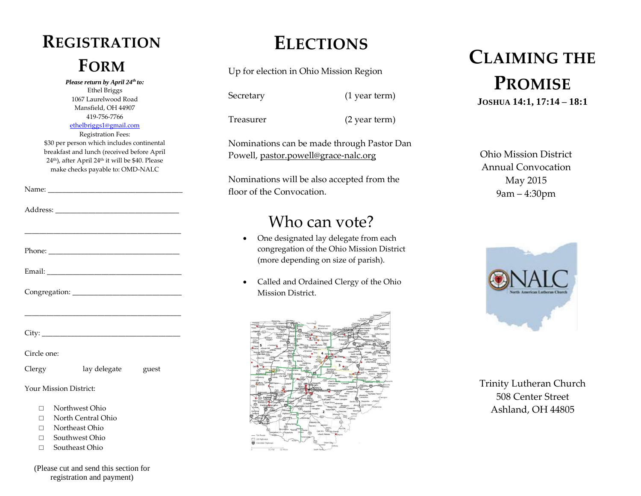## **REGISTRATION**

*Please return by April 24th to:* Ethel Briggs 1067 Laurelwood Road Mansfield, OH 44907 419-756-7766 [ethelbriggs1@gmail.com](mailto:ethelbriggs1@gmail.com) Registration Fees:

\$30 per person which includes continental breakfast and lunch (received before April 24th), after April 24th it will be \$40. Please make checks payable to: OMD-NALC

Address:

Name: \_\_\_\_\_\_\_\_\_\_\_\_\_\_\_\_\_\_\_\_\_\_\_\_\_\_\_\_\_\_\_\_\_\_\_\_\_

|             | <u> 1980 - Antonio Alemania, amerikan personal (h. 1980).</u> |  |
|-------------|---------------------------------------------------------------|--|
|             |                                                               |  |
| Circle one: |                                                               |  |
| Clergy      | lay delegate guest                                            |  |

Your Mission District:

- □ Northwest Ohio
- □ North Central Ohio
- □ Northeast Ohio
- □ Southwest Ohio
- □ Southeast Ohio

(Please cut and send this section for registration and payment)

#### **ELECTIONS**

Up for election in Ohio Mission Region

Secretary (1 year term)

Treasurer (2 year term)

Nominations can be made through Pastor Dan Powell, [pastor.powell@grace-nalc.org](mailto:pastor.powell@grace-nalc.org)

Nominations will be also accepted from the floor of the Convocation.

#### Who can vote?

- One designated lay delegate from each congregation of the Ohio Mission District (more depending on size of parish).
- Called and Ordained Clergy of the Ohio Mission District.



#### **FORM CLAIMING THE PROMISE JOSHUA 14:1, 17:14 – 18:1**

Ohio Mission District Annual Convocation May 2015 9am – 4:30pm



Trinity Lutheran Church 508 Center Street Ashland, OH 44805